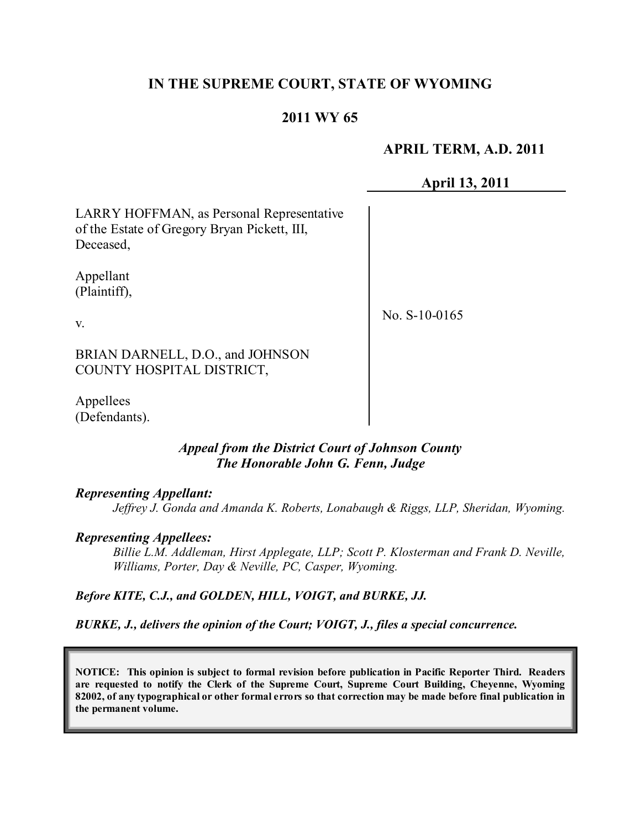# **IN THE SUPREME COURT, STATE OF WYOMING**

# **2011 WY 65**

## **APRIL TERM, A.D. 2011**

**April 13, 2011**

LARRY HOFFMAN, as Personal Representative of the Estate of Gregory Bryan Pickett, III, Deceased,

Appellant (Plaintiff),

No. S-10-0165

BRIAN DARNELL, D.O., and JOHNSON COUNTY HOSPITAL DISTRICT,

Appellees (Defendants).

### *Appeal from the District Court of Johnson County The Honorable John G. Fenn, Judge*

#### *Representing Appellant:*

*Jeffrey J. Gonda and Amanda K. Roberts, Lonabaugh & Riggs, LLP, Sheridan, Wyoming.*

#### *Representing Appellees:*

*Billie L.M. Addleman, Hirst Applegate, LLP; Scott P. Klosterman and Frank D. Neville, Williams, Porter, Day & Neville, PC, Casper, Wyoming.*

*Before KITE, C.J., and GOLDEN, HILL, VOIGT, and BURKE, JJ.*

*BURKE, J., delivers the opinion of the Court; VOIGT, J., files a special concurrence.*

**NOTICE: This opinion is subject to formal revision before publication in Pacific Reporter Third. Readers are requested to notify the Clerk of the Supreme Court, Supreme Court Building, Cheyenne, Wyoming** 82002, of any typographical or other formal errors so that correction may be made before final publication in **the permanent volume.**

#### v.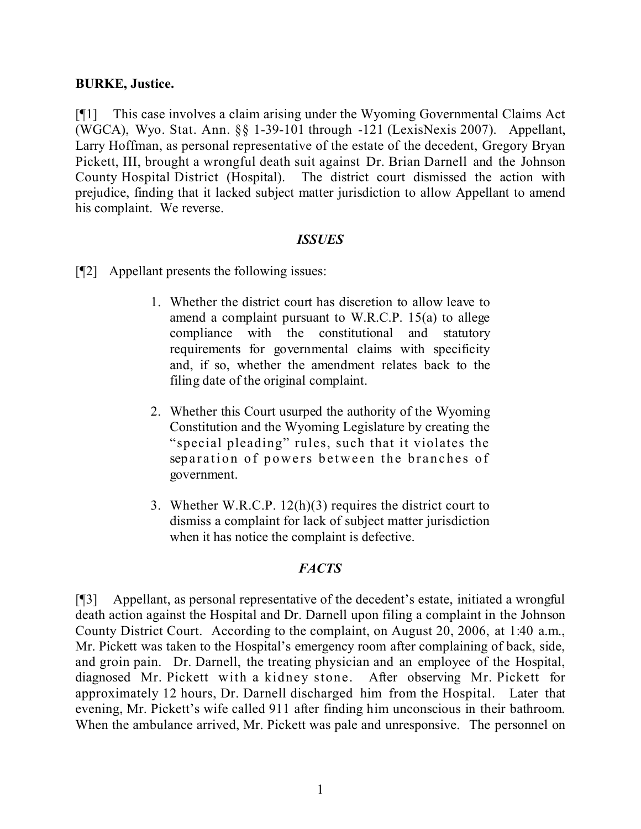### **BURKE, Justice.**

[¶1] This case involves a claim arising under the Wyoming Governmental Claims Act (WGCA), Wyo. Stat. Ann. §§ 1-39-101 through -121 (LexisNexis 2007). Appellant, Larry Hoffman, as personal representative of the estate of the decedent, Gregory Bryan Pickett, III, brought a wrongful death suit against Dr. Brian Darnell and the Johnson County Hospital District (Hospital). The district court dismissed the action with prejudice, finding that it lacked subject matter jurisdiction to allow Appellant to amend his complaint. We reverse.

### *ISSUES*

- [¶2] Appellant presents the following issues:
	- 1. Whether the district court has discretion to allow leave to amend a complaint pursuant to W.R.C.P. 15(a) to allege compliance with the constitutional and statutory requirements for governmental claims with specificity and, if so, whether the amendment relates back to the filing date of the original complaint.
	- 2. Whether this Court usurped the authority of the Wyoming Constitution and the Wyoming Legislature by creating the "special pleading" rules, such that it violates the separation of powers between the branches of government.
	- 3. Whether W.R.C.P. 12(h)(3) requires the district court to dismiss a complaint for lack of subject matter jurisdiction when it has notice the complaint is defective.

# *FACTS*

[¶3] Appellant, as personal representative of the decedent's estate, initiated a wrongful death action against the Hospital and Dr. Darnell upon filing a complaint in the Johnson County District Court. According to the complaint, on August 20, 2006, at 1:40 a.m., Mr. Pickett was taken to the Hospital's emergency room after complaining of back, side, and groin pain. Dr. Darnell, the treating physician and an employee of the Hospital, diagnosed Mr. Pickett with a kidney stone. After observing Mr. Pickett for approximately 12 hours, Dr. Darnell discharged him from the Hospital. Later that evening, Mr. Pickett's wife called 911 after finding him unconscious in their bathroom. When the ambulance arrived, Mr. Pickett was pale and unresponsive. The personnel on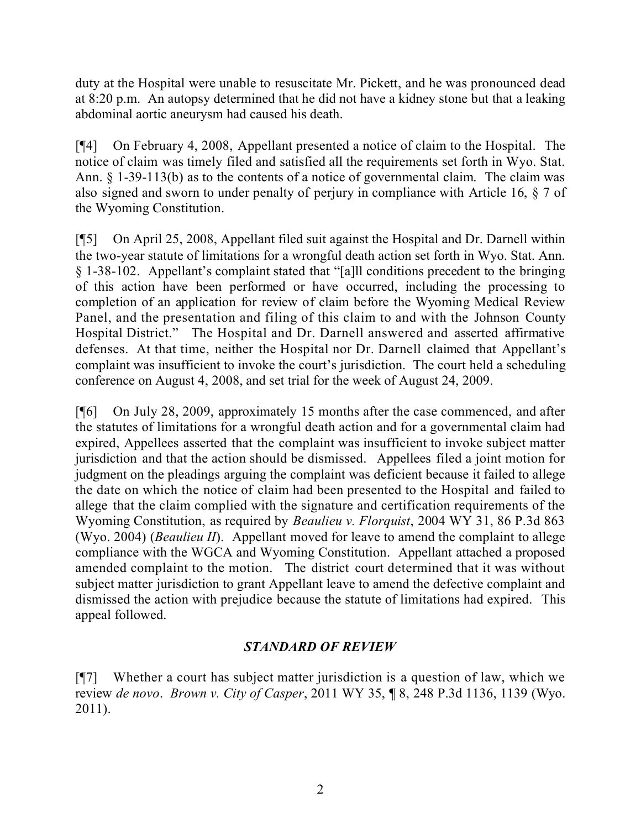duty at the Hospital were unable to resuscitate Mr. Pickett, and he was pronounced dead at 8:20 p.m. An autopsy determined that he did not have a kidney stone but that a leaking abdominal aortic aneurysm had caused his death.

[¶4] On February 4, 2008, Appellant presented a notice of claim to the Hospital. The notice of claim was timely filed and satisfied all the requirements set forth in Wyo. Stat. Ann. § 1-39-113(b) as to the contents of a notice of governmental claim. The claim was also signed and sworn to under penalty of perjury in compliance with Article 16, § 7 of the Wyoming Constitution.

[¶5] On April 25, 2008, Appellant filed suit against the Hospital and Dr. Darnell within the two-year statute of limitations for a wrongful death action set forth in Wyo. Stat. Ann. § 1-38-102. Appellant's complaint stated that "[a]ll conditions precedent to the bringing of this action have been performed or have occurred, including the processing to completion of an application for review of claim before the Wyoming Medical Review Panel, and the presentation and filing of this claim to and with the Johnson County Hospital District." The Hospital and Dr. Darnell answered and asserted affirmative defenses. At that time, neither the Hospital nor Dr. Darnell claimed that Appellant's complaint was insufficient to invoke the court's jurisdiction. The court held a scheduling conference on August 4, 2008, and set trial for the week of August 24, 2009.

[¶6] On July 28, 2009, approximately 15 months after the case commenced, and after the statutes of limitations for a wrongful death action and for a governmental claim had expired, Appellees asserted that the complaint was insufficient to invoke subject matter jurisdiction and that the action should be dismissed. Appellees filed a joint motion for judgment on the pleadings arguing the complaint was deficient because it failed to allege the date on which the notice of claim had been presented to the Hospital and failed to allege that the claim complied with the signature and certification requirements of the Wyoming Constitution, as required by *Beaulieu v. Florquist*, 2004 WY 31, 86 P.3d 863 (Wyo. 2004) (*Beaulieu II*). Appellant moved for leave to amend the complaint to allege compliance with the WGCA and Wyoming Constitution. Appellant attached a proposed amended complaint to the motion. The district court determined that it was without subject matter jurisdiction to grant Appellant leave to amend the defective complaint and dismissed the action with prejudice because the statute of limitations had expired. This appeal followed.

# *STANDARD OF REVIEW*

[¶7] Whether a court has subject matter jurisdiction is a question of law, which we review *de novo*. *Brown v. City of Casper*, 2011 WY 35, ¶ 8, 248 P.3d 1136, 1139 (Wyo. 2011).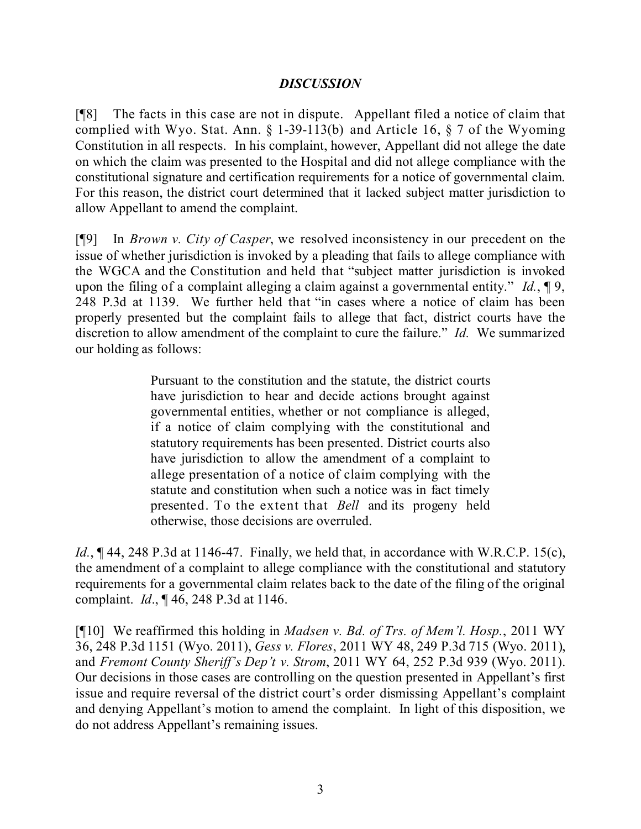# *DISCUSSION*

[¶8] The facts in this case are not in dispute. Appellant filed a notice of claim that complied with Wyo. Stat. Ann. § 1-39-113(b) and Article 16, § 7 of the Wyoming Constitution in all respects. In his complaint, however, Appellant did not allege the date on which the claim was presented to the Hospital and did not allege compliance with the constitutional signature and certification requirements for a notice of governmental claim. For this reason, the district court determined that it lacked subject matter jurisdiction to allow Appellant to amend the complaint.

[¶9] In *Brown v. City of Casper*, we resolved inconsistency in our precedent on the issue of whether jurisdiction is invoked by a pleading that fails to allege compliance with the WGCA and the Constitution and held that "subject matter jurisdiction is invoked upon the filing of a complaint alleging a claim against a governmental entity." *Id.*, ¶ 9, 248 P.3d at 1139. We further held that "in cases where a notice of claim has been properly presented but the complaint fails to allege that fact, district courts have the discretion to allow amendment of the complaint to cure the failure." *Id.* We summarized our holding as follows:

> Pursuant to the constitution and the statute, the district courts have jurisdiction to hear and decide actions brought against governmental entities, whether or not compliance is alleged, if a notice of claim complying with the constitutional and statutory requirements has been presented. District courts also have jurisdiction to allow the amendment of a complaint to allege presentation of a notice of claim complying with the statute and constitution when such a notice was in fact timely presented. To the extent that *Bell* and its progeny held otherwise, those decisions are overruled.

*Id.*, **[44, 248 P.3d at 1146-47.** Finally, we held that, in accordance with W.R.C.P. 15(c), the amendment of a complaint to allege compliance with the constitutional and statutory requirements for a governmental claim relates back to the date of the filing of the original complaint. *Id*., ¶ 46, 248 P.3d at 1146.

[¶10] We reaffirmed this holding in *Madsen v. Bd. of Trs. of Mem'l. Hosp.*, 2011 WY 36, 248 P.3d 1151 (Wyo. 2011), *Gess v. Flores*, 2011 WY 48, 249 P.3d 715 (Wyo. 2011), and *Fremont County Sheriff's Dep't v. Strom*, 2011 WY 64, 252 P.3d 939 (Wyo. 2011). Our decisions in those cases are controlling on the question presented in Appellant's first issue and require reversal of the district court's order dismissing Appellant's complaint and denying Appellant's motion to amend the complaint. In light of this disposition, we do not address Appellant's remaining issues.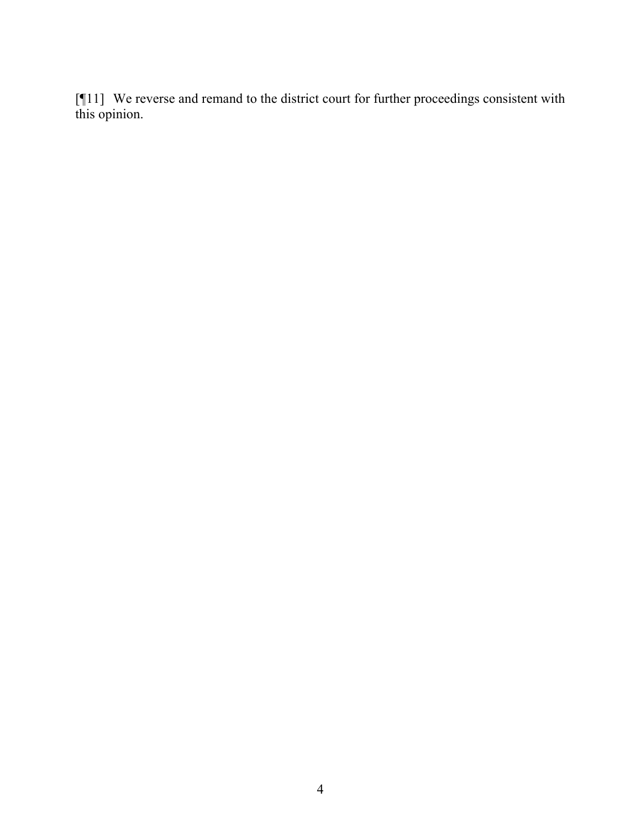[¶11] We reverse and remand to the district court for further proceedings consistent with this opinion.